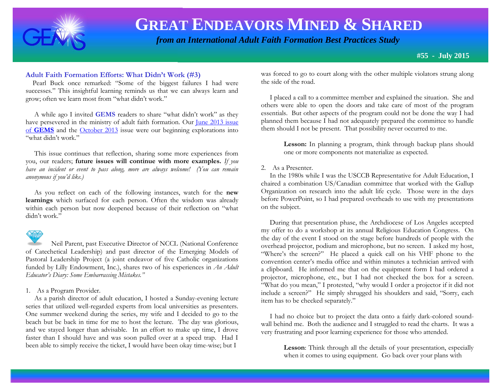

# **GREAT ENDEAVORS MINED & SHARED**

 *from an International Adult Faith Formation Best Practices Study*

**#55 - July 2015**

### **Adult Faith Formation Efforts: What Didn't Work (#3)**

 Pearl Buck once remarked: "Some of the biggest failures I had were successes." This insightful learning reminds us that we can always learn and grow; often we learn most from "what didn't work."

 A while ago I invited **GEMS** readers to share "what didn't work" as they have persevered in the ministry of adult faith formation. Our June 2013 issue of **[GEMS](http://www.janetschaeffler.com/GEMS__30.pdf)** and the [October 2013](http://www.janetschaeffler.com/GEMS__34.pdf) issue were our beginning explorations into "what didn't work"

 This issue continues that reflection, sharing some more experiences from you, our readers; **future issues will continue with more examples.** *If you have an incident or event to pass along, more are always welcome! (You can remain anonymous if you'd like.)*

 As you reflect on each of the following instances, watch for the **new learnings** which surfaced for each person. Often the wisdom was already within each person but now deepened because of their reflection on "what didn't work."

 Neil Parent, past Executive Director of NCCL (National Conference of Catechetical Leadership) and past director of the Emerging Models of Pastoral Leadership Project (a joint endeavor of five Catholic organizations funded by Lilly Endowment, Inc.), shares two of his experiences in *An Adult Educator's Diary: Some Embarrassing Mistakes."*

### 1. As a Program Provider.

 As a parish director of adult education, I hosted a Sunday-evening lecture series that utilized well-regarded experts from local universities as presenters. One summer weekend during the series, my wife and I decided to go to the beach but be back in time for me to host the lecture. The day was glorious, and we stayed longer than advisable. In an effort to make up time, I drove faster than I should have and was soon pulled over at a speed trap. Had I been able to simply receive the ticket, I would have been okay time-wise; but I

was forced to go to court along with the other multiple violators strung along the side of the road.

 I placed a call to a committee member and explained the situation. She and others were able to open the doors and take care of most of the program essentials. But other aspects of the program could not be done the way I had planned them because I had not adequately prepared the committee to handle them should I not be present. That possibility never occurred to me.

> **Lesson:** In planning a program, think through backup plans should one or more components not materialize as expected.

### 2. As a Presenter.

 In the 1980s while I was the USCCB Representative for Adult Education, I chaired a combination US/Canadian committee that worked with the Gallup Organization on research into the adult life cycle. Those were in the days before PowerPoint, so I had prepared overheads to use with my presentations on the subject.

 During that presentation phase, the Archdiocese of Los Angeles accepted my offer to do a workshop at its annual Religious Education Congress. On the day of the event I stood on the stage before hundreds of people with the overhead projector, podium and microphone, but no screen. I asked my host, "Where's the screen?" He placed a quick call on his VHF phone to the convention center's media office and within minutes a technician arrived with a clipboard. He informed me that on the equipment form I had ordered a projector, microphone, etc., but I had not checked the box for a screen. "What do you mean," I protested, "why would I order a projector if it did not include a screen?" He simply shrugged his shoulders and said, "Sorry, each item has to be checked separately."

 I had no choice but to project the data onto a fairly dark-colored soundwall behind me. Both the audience and I struggled to read the charts. It was a very frustrating and poor learning experience for those who attended.

> **Lesson**: Think through all the details of your presentation, especially when it comes to using equipment. Go back over your plans with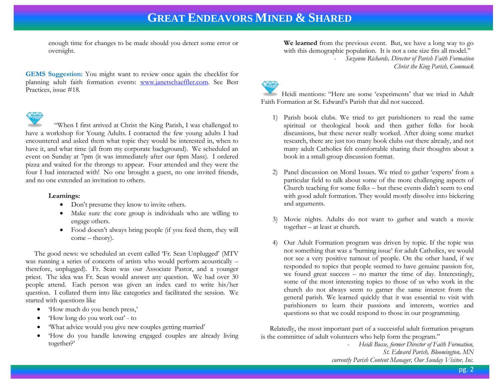### **GREAT ENDEAVORS MINED & SHARED**

enough time for changes to be made should you detect some error or oversight.

**GEMS Suggestion:** You might want to review once again the checklist for planning adult faith formation events: [www.janetschaeffler.com.](http://www.janetschaeffler.com/) See Best Practices, issue #18.



 "When I first arrived at Christ the King Parish, I was challenged to have a workshop for Young Adults. I contacted the few young adults I had encountered and asked them what topic they would be interested in, when to have it, and what time (all from my corporate background). We scheduled an event on Sunday at 7pm (it was immediately after our 6pm Mass). I ordered pizza and waited for the throngs to appear. Four attended and they were the four I had interacted with! No one brought a guest, no one invited friends, and no one extended an invitation to others.

#### **Learnings:**

- Don't presume they know to invite others.
- Make sure the core group is individuals who are willing to engage others.
- Food doesn't always bring people (if you feed them, they will come – theory).

 The good news: we scheduled an event called 'Fr. Sean Unplugged' (MTV was running a series of concerts of artists who would perform acoustically – therefore, unplugged). Fr. Sean was our Associate Pastor, and a younger priest. The idea was Fr. Sean would answer any question. We had over 30 people attend. Each person was given an index card to write his/her question. I collated them into like categories and facilitated the session. We started with questions like

- 'How much do you bench press,'
- 'How long do you work out' to
- 'What advice would you give new couples getting married'
- 'How do you handle knowing engaged couples are already living together?'

**We learned** from the previous event. But, we have a long way to go with this demographic population. It is not a one size fits all model." - *Suzanne Richards, Director of Parish Faith Formation Christ the King Parish, Commack*

Heidi mentions: "Here are some 'experiments' that we tried in Adult Faith Formation at St. Edward's Parish that did not succeed.

- 1) Parish book clubs. We tried to get parishioners to read the same spiritual or theological book and then gather folks for book discussions, but these never really worked. After doing some market research, there are just too many book clubs out there already, and not many adult Catholics felt comfortable sharing their thoughts about a book in a small-group discussion format.
- 2) Panel discussion on Moral Issues. We tried to gather 'experts' from a particular field to talk about some of the more challenging aspects of Church teaching for some folks – but these events didn't seem to end with good adult formation. They would mostly dissolve into bickering and arguments.
- Movie nights. Adults do not want to gather and watch a movie together – at least at church.
- 4) Our Adult Formation program was driven by topic. If the topic was not something that was a 'burning issue' for adult Catholics, we would not see a very positive turnout of people. On the other hand, if we responded to topics that people seemed to have genuine passion for, we found great success – no matter the time of day. Interestingly, some of the most interesting topics to those of us who work in the church do not always seem to garner the same interest from the general parish. We learned quickly that it was essential to visit with parishioners to learn their passions and interests, worries and questions so that we could respond to those in our programming.

 Relatedly, the most important part of a successful adult formation program is the committee of adult volunteers who help form the program."

> - *Heidi Busse, former Director of Faith Formation, St. Edward Parish, Bloomington, MN currently Parish Content Manager, Our Sunday Visitor, Inc.*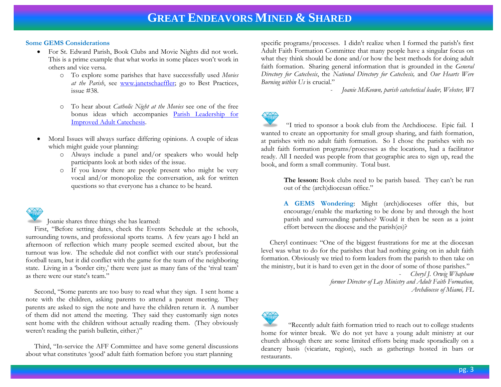### **Some GEMS Considerations**

- For St. Edward Parish, Book Clubs and Movie Nights did not work. This is a prime example that what works in some places won't work in others and vice versa.
	- o To explore some parishes that have successfully used *Movies at the Parish*, see [www.janetschaeffler;](http://www.janetschaeffler/) go to Best Practices, issue #38.
	- o To hear about *Catholic Night at the Movies* see one of the free bonus ideas which accompanies [Parish Leadership for](http://store.pastoralplanning.com/iboplbeprfor.html)  [Improved Adult Catechesis.](http://store.pastoralplanning.com/iboplbeprfor.html)
- Moral Issues will always surface differing opinions. A couple of ideas which might guide your planning:
	- o Always include a panel and/or speakers who would help participants look at both sides of the issue.
	- o If you know there are people present who might be very vocal and/or monopolize the conversation, ask for written questions so that everyone has a chance to be heard.

Joanie shares three things she has learned:

 First, "Before setting dates, check the Events Schedule at the schools, surrounding towns, and professional sports teams. A few years ago I held an afternoon of reflection which many people seemed excited about, but the turnout was low. The schedule did not conflict with our state's professional football team, but it did conflict with the game for the team of the neighboring state. Living in a 'border city,' there were just as many fans of the 'rival team' as there were our state's team."

 Second, "Some parents are too busy to read what they sign. I sent home a note with the children, asking parents to attend a parent meeting. They parents are asked to sign the note and have the children return it. A number of them did not attend the meeting. They said they customarily sign notes sent home with the children without actually reading them. (They obviously weren't reading the parish bulletin, either.)"

 Third, "In-service the AFF Committee and have some general discussions about what constitutes 'good' adult faith formation before you start planning

specific programs/processes. I didn't realize when I formed the parish's first Adult Faith Formation Committee that many people have a singular focus on what they think should be done and/or how the best methods for doing adult faith formation. Sharing general information that is grounded in the *General Directory for Catechesis*, the *National Directory for Catechesis,* and *Our Hearts Were Burning within Us* is crucial."

- *Joanie McKeown, parish catechetical leader, Webster, WI*



 "I tried to sponsor a book club from the Archdiocese. Epic fail. I wanted to create an opportunity for small group sharing, and faith formation, at parishes with no adult faith formation. So I chose the parishes with no adult faith formation programs/processes as the locations, had a facilitator ready. All I needed was people from that geographic area to sign up, read the book, and form a small community. Total bust.

> **The lesson:** Book clubs need to be parish based. They can't be run out of the (arch)diocesan office."

> **A GEMS Wondering**: Might (arch)dioceses offer this, but encourage/enable the marketing to be done by and through the host parish and surrounding parishes? Would it then be seen as a joint effort between the diocese and the parish(es)?

 Cheryl continues: "One of the biggest frustrations for me at the diocesan level was what to do for the parishes that had nothing going on in adult faith formation. Obviously we tried to form leaders from the parish to then take on the ministry, but it is hard to even get in the door of some of those parishes."

> - *Cheryl J. Orwig Whapham former Director of Lay Ministry and Adult Faith Formation, Archdiocese of Miami, FL*



 "Recently adult faith formation tried to reach out to college students home for winter break. We do not yet have a young adult ministry at our church although there are some limited efforts being made sporadically on a deanery basis (vicariate, region), such as gatherings hosted in bars or restaurants.